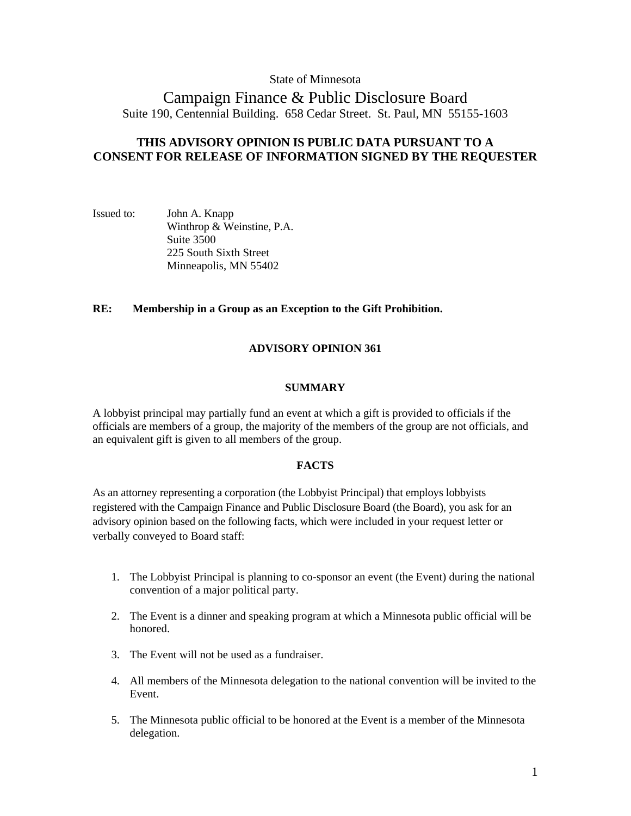## State of Minnesota

# Campaign Finance & Public Disclosure Board Suite 190, Centennial Building. 658 Cedar Street. St. Paul, MN 55155-1603

## **THIS ADVISORY OPINION IS PUBLIC DATA PURSUANT TO A CONSENT FOR RELEASE OF INFORMATION SIGNED BY THE REQUESTER**

Issued to: John A. Knapp Winthrop & Weinstine, P.A. Suite 3500 225 South Sixth Street Minneapolis, MN 55402

## **RE: Membership in a Group as an Exception to the Gift Prohibition.**

## **ADVISORY OPINION 361**

### **SUMMARY**

A lobbyist principal may partially fund an event at which a gift is provided to officials if the officials are members of a group, the majority of the members of the group are not officials, and an equivalent gift is given to all members of the group.

### **FACTS**

As an attorney representing a corporation (the Lobbyist Principal) that employs lobbyists registered with the Campaign Finance and Public Disclosure Board (the Board), you ask for an advisory opinion based on the following facts, which were included in your request letter or verbally conveyed to Board staff:

- 1. The Lobbyist Principal is planning to co-sponsor an event (the Event) during the national convention of a major political party.
- 2. The Event is a dinner and speaking program at which a Minnesota public official will be honored.
- 3. The Event will not be used as a fundraiser.
- 4. All members of the Minnesota delegation to the national convention will be invited to the Event.
- 5. The Minnesota public official to be honored at the Event is a member of the Minnesota delegation.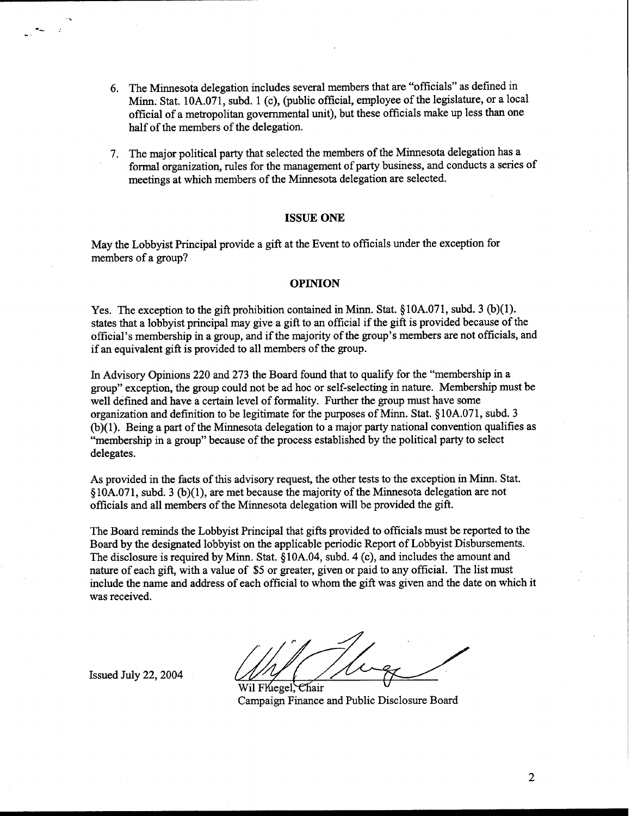- 6. The Minnesota delegation includes several members that are "officials" as defined in Minn. Stat. 10A.071, subd. 1 (c), (public official, employee of the legislature, or a local official of a metropolitan governmental unit), but these officials make up less than one half of the members of the delegation.
- 7. The major political party that selected the members of the Minnesota delegation has a formal organization, rules for the management of party business, and conducts a series of meetings at which members of the Minnesota delegation are selected.

#### **ISSUE ONE**

May the Lobbyist Principal provide a gift at the Event to officials under the exception for members of a group?

#### **OPINION**

Yes. The exception to the gift prohibition contained in Minn. Stat. *5* 10A.071, subd. 3 (b)(l). states that a lobbyist principal may give a gift to an official if the gift is provided because of the official's membership in a group, and if the majority of the group's members are not officials, and if an equivalent gift is provided to all members of the group.

In Advisory Opinions 220 and 273 the Board found that to qualify for the "membership in a group" exception, the group could not be ad hoc or self-selecting in nature. Membership must be well defined and have a certain level of formality. Further the group must have some organization and definition to be legitimate for the purposes of Minn. Stat. *5* 10A.07 1, subd. 3 (b)(l). Being a part of the Minnesota delegation to a major party national convention qualifies as "membership in a group" because of the process established by the political party to select delegates.

As provided in the facts of this advisory request, the other tests to the exception in Minn. Stat. \$10A.071, subd. **3** (b)(l), are met because the majority of the Minnesota delegation are not officials and all members of the Minnesota delegation will be provided the gift.

The Board reminds the Lobbyist Principal that gifts provided to officials must be reported to the Board by the designated lobbyist on the applicable periodic Report of Lobbyist Disbursements. The disclosure is required by Minn. Stat. *5* 10A.04, subd. 4 (c), and includes the amount and nature of each gift, with a value of \$5 or greater, given or paid to any official. The list must include the name and address of each official to whom the gift was given and the date on which it was received.

Issued July 22,2004

Wil Fluegel, Chair campaign Finance and Public Disclosure Board

 $\overline{2}$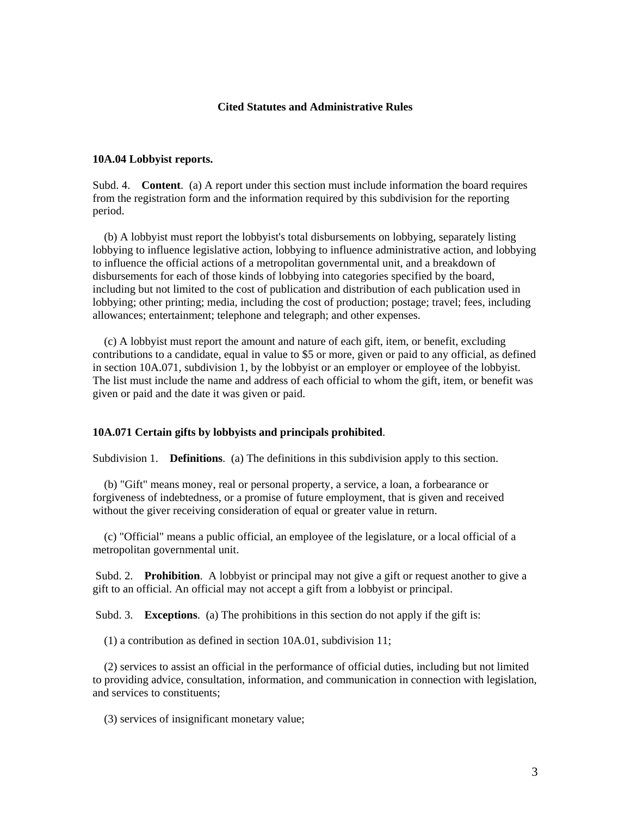#### **Cited Statutes and Administrative Rules**

## **10A.04 Lobbyist reports.**

Subd. 4. **Content**. (a) A report under this section must include information the board requires from the registration form and the information required by this subdivision for the reporting period.

 (b) A lobbyist must report the lobbyist's total disbursements on lobbying, separately listing lobbying to influence legislative action, lobbying to influence administrative action, and lobbying to influence the official actions of a metropolitan governmental unit, and a breakdown of disbursements for each of those kinds of lobbying into categories specified by the board, including but not limited to the cost of publication and distribution of each publication used in lobbying; other printing; media, including the cost of production; postage; travel; fees, including allowances; entertainment; telephone and telegraph; and other expenses.

 (c) A lobbyist must report the amount and nature of each gift, item, or benefit, excluding contributions to a candidate, equal in value to \$5 or more, given or paid to any official, as defined in section 10A.071, subdivision 1, by the lobbyist or an employer or employee of the lobbyist. The list must include the name and address of each official to whom the gift, item, or benefit was given or paid and the date it was given or paid.

#### **10A.071 Certain gifts by lobbyists and principals prohibited**.

Subdivision 1. **Definitions**. (a) The definitions in this subdivision apply to this section.

 (b) "Gift" means money, real or personal property, a service, a loan, a forbearance or forgiveness of indebtedness, or a promise of future employment, that is given and received without the giver receiving consideration of equal or greater value in return.

 (c) "Official" means a public official, an employee of the legislature, or a local official of a metropolitan governmental unit.

 Subd. 2. **Prohibition**. A lobbyist or principal may not give a gift or request another to give a gift to an official. An official may not accept a gift from a lobbyist or principal.

Subd. 3. **Exceptions**. (a) The prohibitions in this section do not apply if the gift is:

(1) a contribution as defined in section 10A.01, subdivision 11;

 (2) services to assist an official in the performance of official duties, including but not limited to providing advice, consultation, information, and communication in connection with legislation, and services to constituents;

(3) services of insignificant monetary value;